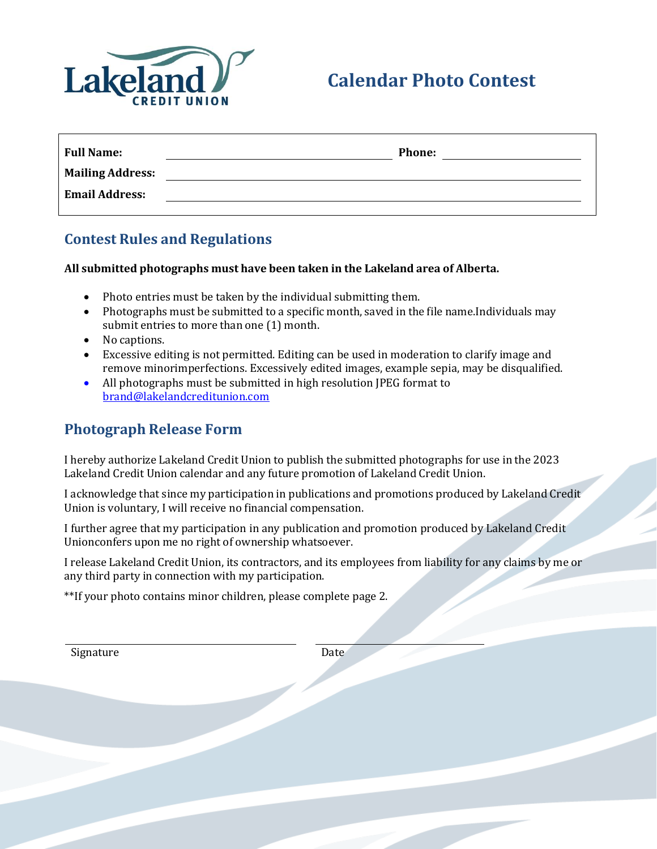

# **Calendar Photo Contest**

| <b>Full Name:</b>       | <b>Phone:</b> |
|-------------------------|---------------|
| <b>Mailing Address:</b> |               |
| <b>Email Address:</b>   |               |

### **Contest Rules and Regulations**

#### **All submitted photographs must have been taken in the Lakeland area of Alberta.**

- Photo entries must be taken by the individual submitting them.
- Photographs must be submitted to a specific month, saved in the file name.Individuals may submit entries to more than one (1) month.
- No captions.
- Excessive editing is not permitted. Editing can be used in moderation to clarify image and remove minorimperfections. Excessively edited images, example sepia, may be disqualified.
- All photographs must be submitted in high resolution JPEG format to [brand@lakelandcreditunion.com](mailto:brand@lakelandcreditunion.com)

## **Photograph Release Form**

I hereby authorize Lakeland Credit Union to publish the submitted photographs for use in the 2023 Lakeland Credit Union calendar and any future promotion of Lakeland Credit Union.

I acknowledge that since my participation in publications and promotions produced by Lakeland Credit Union is voluntary, I will receive no financial compensation.

I further agree that my participation in any publication and promotion produced by Lakeland Credit Unionconfers upon me no right of ownership whatsoever.

I release Lakeland Credit Union, its contractors, and its employees from liability for any claims by me or any third party in connection with my participation.

\*\*If your photo contains minor children, please complete page 2.

| Signature | Date |  |
|-----------|------|--|
|           |      |  |
|           |      |  |
|           |      |  |
|           |      |  |